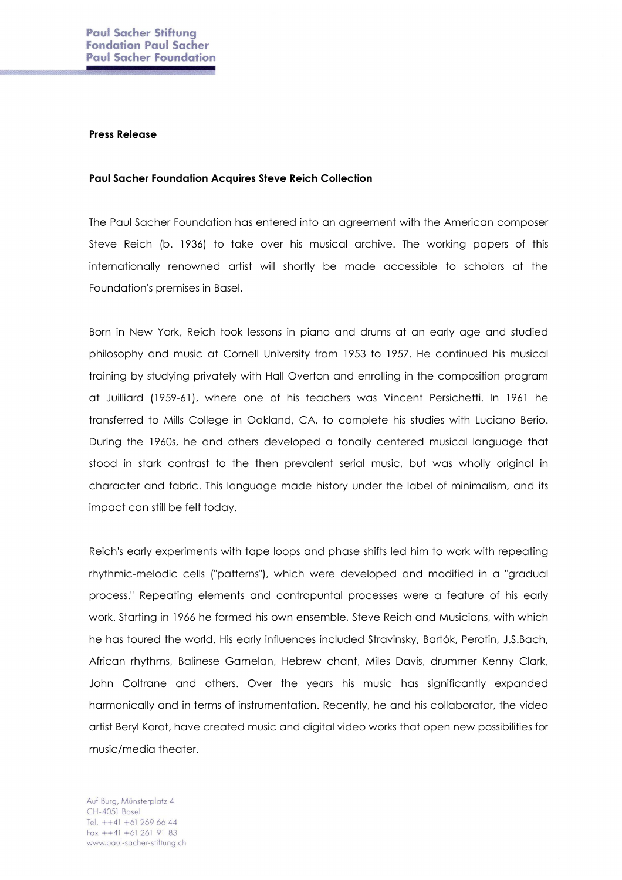## Press Release

## Paul Sacher Foundation Acquires Steve Reich Collection

The Paul Sacher Foundation has entered into an agreement with the American composer Steve Reich (b. 1936) to take over his musical archive. The working papers of this internationally renowned artist will shortly be made accessible to scholars at the Foundation's premises in Basel.

Born in New York, Reich took lessons in piano and drums at an early age and studied philosophy and music at Cornell University from 1953 to 1957. He continued his musical training by studying privately with Hall Overton and enrolling in the composition program at Juilliard (1959-61), where one of his teachers was Vincent Persichetti. In 1961 he transferred to Mills College in Oakland, CA, to complete his studies with Luciano Berio. During the 1960s, he and others developed a tonally centered musical language that stood in stark contrast to the then prevalent serial music, but was wholly original in character and fabric. This language made history under the label of minimalism, and its impact can still be felt today.

Reich's early experiments with tape loops and phase shifts led him to work with repeating rhythmic-melodic cells ("patterns"), which were developed and modified in a "gradual process." Repeating elements and contrapuntal processes were a feature of his early work. Starting in 1966 he formed his own ensemble, Steve Reich and Musicians, with which he has toured the world. His early influences included Stravinsky, Bartók, Perotin, J.S.Bach, African rhythms, Balinese Gamelan, Hebrew chant, Miles Davis, drummer Kenny Clark, John Coltrane and others. Over the years his music has significantly expanded harmonically and in terms of instrumentation. Recently, he and his collaborator, the video artist Beryl Korot, have created music and digital video works that open new possibilities for music/media theater.